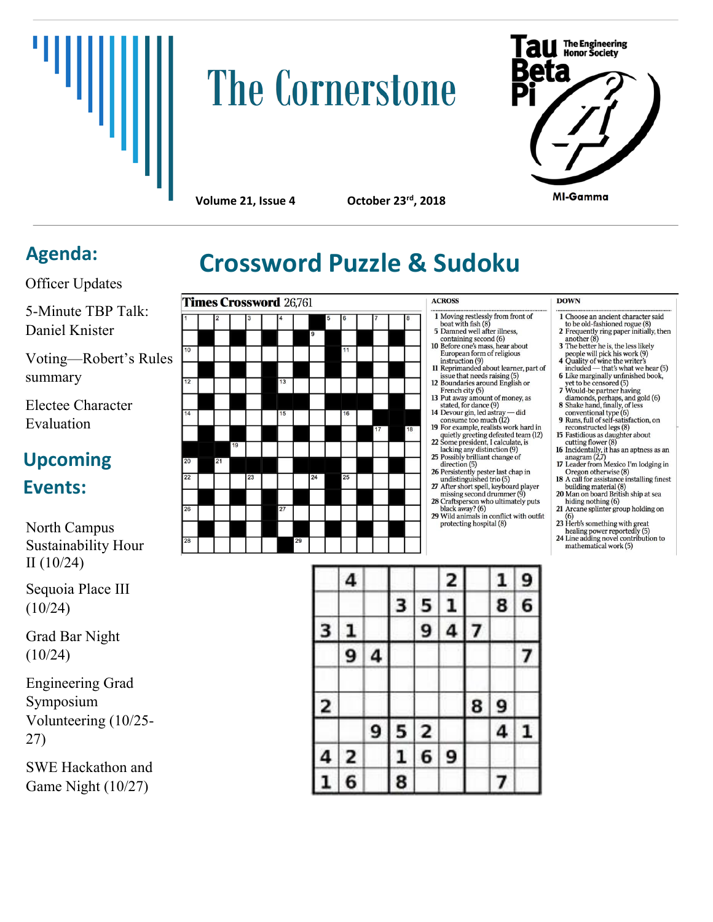

# **The Cornerstone**



**Volume 21, Issue 4** 

October 23<sup>rd</sup>, 2018

Officer Updates

5-Minute TBP Talk: Daniel Knister

Voting—Robert's Rules summary

Electee Character Evaluation

# **Upcoming**

### **Events:**

North Campus Sustainability Hour II (10/24)

Sequoia Place III (10/24)

Grad Bar Night (10/24)

Engineering Grad Symposium Volunteering (10/25- 27)

SWE Hackathon and Game Night (10/27)



# Agenda: **Crossword Puzzle & Sudoku**

- 
- 1 Moving restlessly from front of<br>boat with fish (8)<br>5 Damned well after illness,<br>containing second (6) containing second (b)<br>10 Before one's mass, hear about<br>European form of religious

**ACROSS** 

- European form of religious<br>
instruction (9)<br>
11 Reprimanded about learner, part of<br>
issue that needs raising (5)<br>
12 Boundaries around English or<br>
French city (5)<br>
the framew are
- 
- French city (5)<br>
13 Put away amount of money, as<br>
stated, for dance (9)<br>
14 Devour gin, led astray did<br>
consume too much (12)
- 
- 14 Devour gin, lea astray and<br>
20 For example, realists work hard in<br>
19 For example, realists work hard in<br>
22 Some president, I calculate, is<br>
22 Some president, I calculate, is<br>  $\frac{3}{2}$
- acking any distinction (9)<br>25 Possibly brilliant change of<br>direction (5)
	-
- 28
- 

#### **DOWN**

- 1 Choose an ancient character said<br>to be old-fashioned rogue (8)
- to be old-fashioned rogue (8)<br>
2 Frequently ring paper initially, then<br>
another (8)<br>
3 The better he is, the less likely<br>
people will pick his work (9)<br>
4 Quality of wine the writer's<br>
included that's what we hear (5)<br>
- 
- 
- yet to be censored (5)<br>7 Would-be partner having
- 
- 
- 
- 7 Would-be partner having<br>diamonds, perhaps, and gold (6)<br>8 Shake hand, finally, of less<br>conventional type (6)<br>9 Runs, full of self-satisfaction, on<br>reconstructed legs (8)<br>15 Fastidious as daughter about<br>to reconstructed
- The case in the Cheron of the Cheron of the Cheron of the Cheron School and School and School and School and School and School and School and School and School and School and School and School and School and School and Sch
- 
- 21 Arcane splinter group holding on
- 21 After Spinter group holds.<br>
23 Herb's something with great<br>
healing nower renortedly (5)
- healing power reportedly (5)<br>24 Line adding novel contribution to mathematical work (5)

|   | 4 |   |                |   | 2 |   | $\mathbf{1}$ | 9 |
|---|---|---|----------------|---|---|---|--------------|---|
|   |   |   | 3              | 5 | ı |   | 8            | 6 |
| з |   |   |                | 9 | 4 | 7 |              |   |
|   | 9 | 4 |                |   |   |   |              | 7 |
| 2 |   |   |                |   |   | 8 | 9            |   |
|   |   | 9 | $\overline{5}$ | 2 |   |   | 4            | ı |
| 4 | 2 |   | Ļ              | 6 | 9 |   |              |   |
|   | 6 |   | 8              |   |   |   |              |   |

- direction (5)<br>
26 Persistently pester last chap in<br>
undistinguished trio (5)<br>
27 After short spell, keyboard player<br>
missin accord drummer (9) Find sing second drummer  $(9)$ <br>Craftsperson who ultimately puts<br>black away?  $(6)$
- 29 Wild animals in conflict with outfit<br>protecting hospital  $(8)$